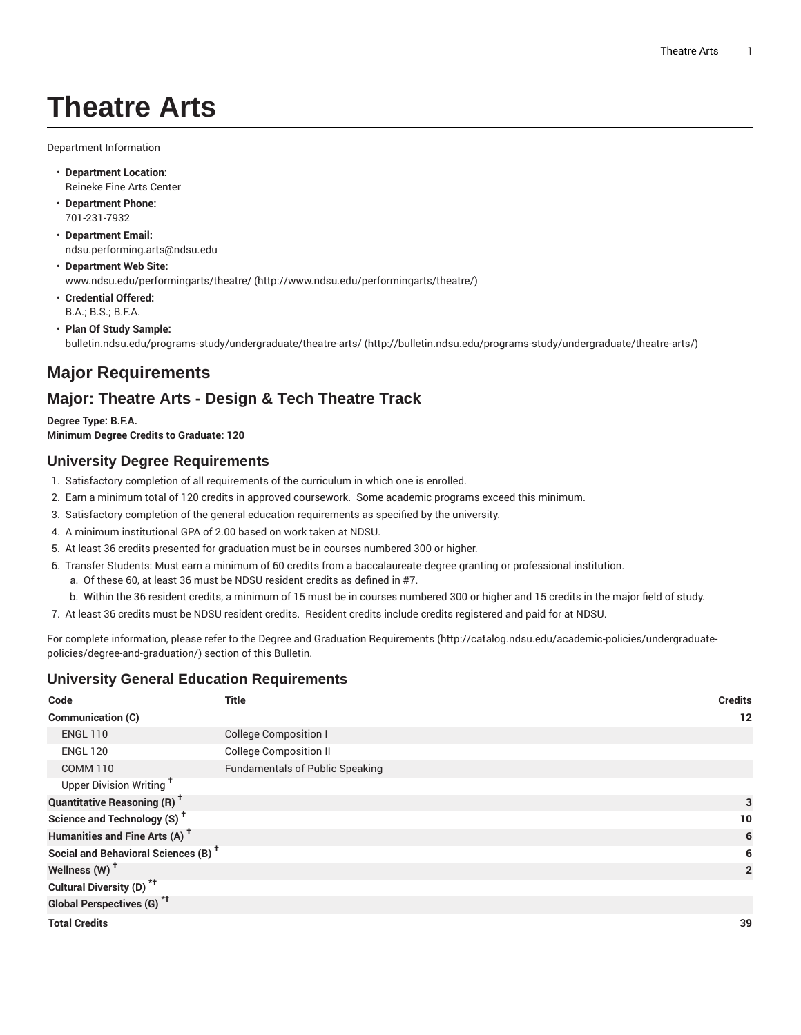# **Theatre Arts**

Department Information

- **Department Location:** Reineke Fine Arts Center
- **Department Phone:** 701-231-7932
- **Department Email:** [ndsu.performing.arts@ndsu.edu](mailto:ndsu.performing.arts@ndsu.edu)
- **Department Web Site:** [www.ndsu.edu/performingarts/theatre/](http://www.ndsu.edu/performingarts/theatre/) [\(http://www.ndsu.edu/performingarts/theatre/\)](http://www.ndsu.edu/performingarts/theatre/)
- **Credential Offered:** B.A.; B.S.; B.F.A.
- **Plan Of Study Sample:** [bulletin.ndsu.edu/programs-study/undergraduate/theatre-arts/ \(http://bulletin.ndsu.edu/programs-study/undergraduate/theatre-arts/](http://bulletin.ndsu.edu/programs-study/undergraduate/theatre-arts/))

# **Major Requirements**

## **Major: Theatre Arts - Design & Tech Theatre Track**

**Degree Type: B.F.A. Minimum Degree Credits to Graduate: 120**

### **University Degree Requirements**

- 1. Satisfactory completion of all requirements of the curriculum in which one is enrolled.
- 2. Earn a minimum total of 120 credits in approved coursework. Some academic programs exceed this minimum.
- 3. Satisfactory completion of the general education requirements as specified by the university.
- 4. A minimum institutional GPA of 2.00 based on work taken at NDSU.
- 5. At least 36 credits presented for graduation must be in courses numbered 300 or higher.
- 6. Transfer Students: Must earn a minimum of 60 credits from a baccalaureate-degree granting or professional institution.
	- a. Of these 60, at least 36 must be NDSU resident credits as defined in #7.
- b. Within the 36 resident credits, a minimum of 15 must be in courses numbered 300 or higher and 15 credits in the major field of study.
- 7. At least 36 credits must be NDSU resident credits. Resident credits include credits registered and paid for at NDSU.

For complete information, please refer to the Degree and Graduation [Requirements](http://catalog.ndsu.edu/academic-policies/undergraduate-policies/degree-and-graduation/) ([http://catalog.ndsu.edu/academic-policies/undergraduate](http://catalog.ndsu.edu/academic-policies/undergraduate-policies/degree-and-graduation/)[policies/degree-and-graduation/\)](http://catalog.ndsu.edu/academic-policies/undergraduate-policies/degree-and-graduation/) section of this Bulletin.

### **University General Education Requirements**

| Code                                            | <b>Title</b>                           | <b>Credits</b> |                |
|-------------------------------------------------|----------------------------------------|----------------|----------------|
| Communication (C)                               |                                        |                | 12             |
| <b>ENGL 110</b>                                 | <b>College Composition I</b>           |                |                |
| <b>ENGL 120</b>                                 | <b>College Composition II</b>          |                |                |
| <b>COMM 110</b>                                 | <b>Fundamentals of Public Speaking</b> |                |                |
| Upper Division Writing <sup>+</sup>             |                                        |                |                |
| <b>Quantitative Reasoning (R)<sup>†</sup></b>   |                                        |                | 3<br>10        |
| Science and Technology (S) <sup>t</sup>         |                                        |                |                |
| Humanities and Fine Arts (A) <sup>+</sup>       |                                        |                | 6              |
| Social and Behavioral Sciences (B) <sup>+</sup> |                                        |                | 6              |
| Wellness (W) <sup>t</sup>                       |                                        |                | $\overline{2}$ |
| Cultural Diversity (D) <sup>*†</sup>            |                                        |                |                |
| <b>Global Perspectives (G)<sup>*†</sup></b>     |                                        |                |                |
| <b>Total Credits</b>                            |                                        |                | 39             |